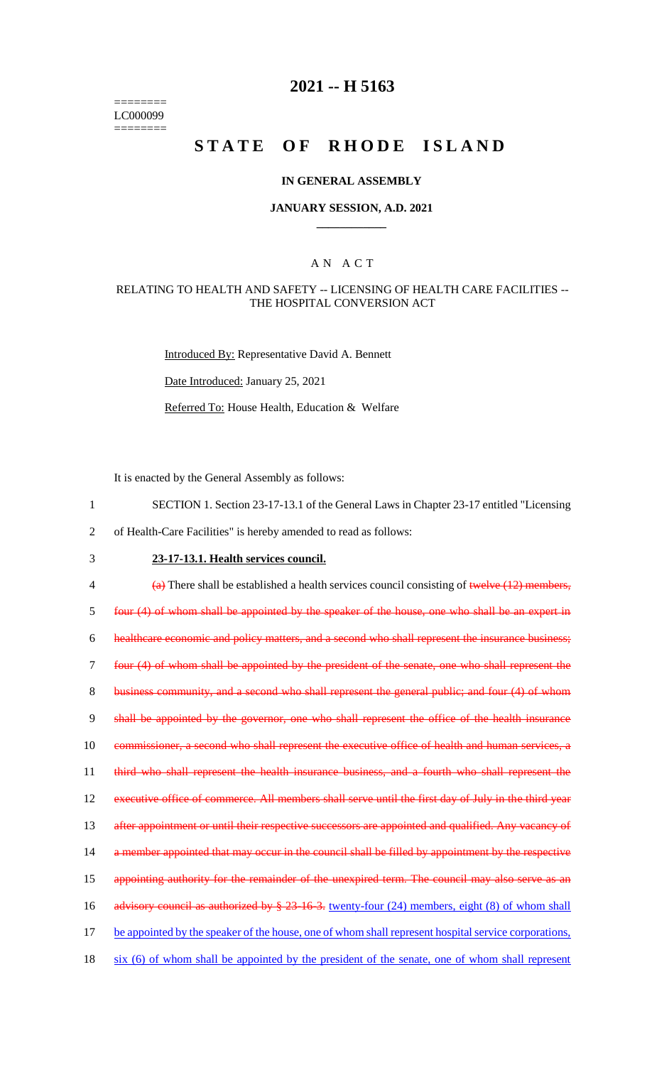======== LC000099 ========

## **2021 -- H 5163**

# **STATE OF RHODE ISLAND**

#### **IN GENERAL ASSEMBLY**

#### **JANUARY SESSION, A.D. 2021 \_\_\_\_\_\_\_\_\_\_\_\_**

### A N A C T

#### RELATING TO HEALTH AND SAFETY -- LICENSING OF HEALTH CARE FACILITIES -- THE HOSPITAL CONVERSION ACT

Introduced By: Representative David A. Bennett

Date Introduced: January 25, 2021

Referred To: House Health, Education & Welfare

It is enacted by the General Assembly as follows:

- 1 SECTION 1. Section 23-17-13.1 of the General Laws in Chapter 23-17 entitled "Licensing
- 2 of Health-Care Facilities" is hereby amended to read as follows:
- 

# 3 **23-17-13.1. Health services council.**

 $\frac{4}{4}$  There shall be established a health services council consisting of twelve (12) members, 5 four (4) of whom shall be appointed by the speaker of the house, one who shall be an expert in 6 healthcare economic and policy matters, and a second who shall represent the insurance business; 7 four (4) of whom shall be appointed by the president of the senate, one who shall represent the 8 business community, and a second who shall represent the general public; and four (4) of whom 9 shall be appointed by the governor, one who shall represent the office of the health insurance 10 commissioner, a second who shall represent the executive office of health and human services, a 11 third who shall represent the health insurance business, and a fourth who shall represent the 12 executive office of commerce. All members shall serve until the first day of July in the third year 13 after appointment or until their respective successors are appointed and qualified. Any vacancy of 14 a member appointed that may occur in the council shall be filled by appointment by the respective 15 appointing authority for the remainder of the unexpired term. The council may also serve as an 16 advisory council as authorized by § 23-16-3. twenty-four (24) members, eight (8) of whom shall 17 be appointed by the speaker of the house, one of whom shall represent hospital service corporations, 18 six (6) of whom shall be appointed by the president of the senate, one of whom shall represent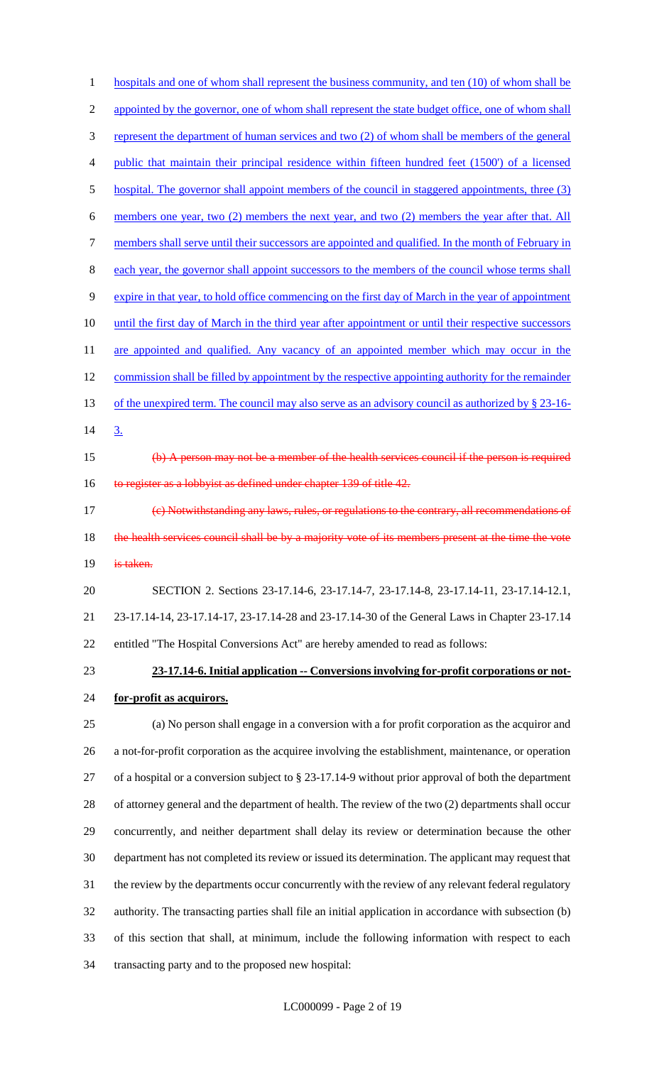1 hospitals and one of whom shall represent the business community, and ten (10) of whom shall be 2 appointed by the governor, one of whom shall represent the state budget office, one of whom shall represent the department of human services and two (2) of whom shall be members of the general public that maintain their principal residence within fifteen hundred feet (1500') of a licensed 5 hospital. The governor shall appoint members of the council in staggered appointments, three (3) members one year, two (2) members the next year, and two (2) members the year after that. All 7 members shall serve until their successors are appointed and qualified. In the month of February in 8 each year, the governor shall appoint successors to the members of the council whose terms shall expire in that year, to hold office commencing on the first day of March in the year of appointment 10 until the first day of March in the third year after appointment or until their respective successors 11 are appointed and qualified. Any vacancy of an appointed member which may occur in the 12 commission shall be filled by appointment by the respective appointing authority for the remainder 13 of the unexpired term. The council may also serve as an advisory council as authorized by § 23-16-14 3.  $\leftrightarrow$  A person may not be a member of the health services council if the person is required 16 to register as a lobbyist as defined under chapter 139 of title 42. (c) Notwithstanding any laws, rules, or regulations to the contrary, all recommendations of 18 the health services council shall be by a majority vote of its members present at the time the vote 19 is taken. SECTION 2. Sections 23-17.14-6, 23-17.14-7, 23-17.14-8, 23-17.14-11, 23-17.14-12.1, 23-17.14-14, 23-17.14-17, 23-17.14-28 and 23-17.14-30 of the General Laws in Chapter 23-17.14 entitled "The Hospital Conversions Act" are hereby amended to read as follows: **23-17.14-6. Initial application -- Conversions involving for-profit corporations or not- for-profit as acquirors.** (a) No person shall engage in a conversion with a for profit corporation as the acquiror and a not-for-profit corporation as the acquiree involving the establishment, maintenance, or operation of a hospital or a conversion subject to § 23-17.14-9 without prior approval of both the department of attorney general and the department of health. The review of the two (2) departments shall occur concurrently, and neither department shall delay its review or determination because the other department has not completed its review or issued its determination. The applicant may request that the review by the departments occur concurrently with the review of any relevant federal regulatory authority. The transacting parties shall file an initial application in accordance with subsection (b) of this section that shall, at minimum, include the following information with respect to each transacting party and to the proposed new hospital: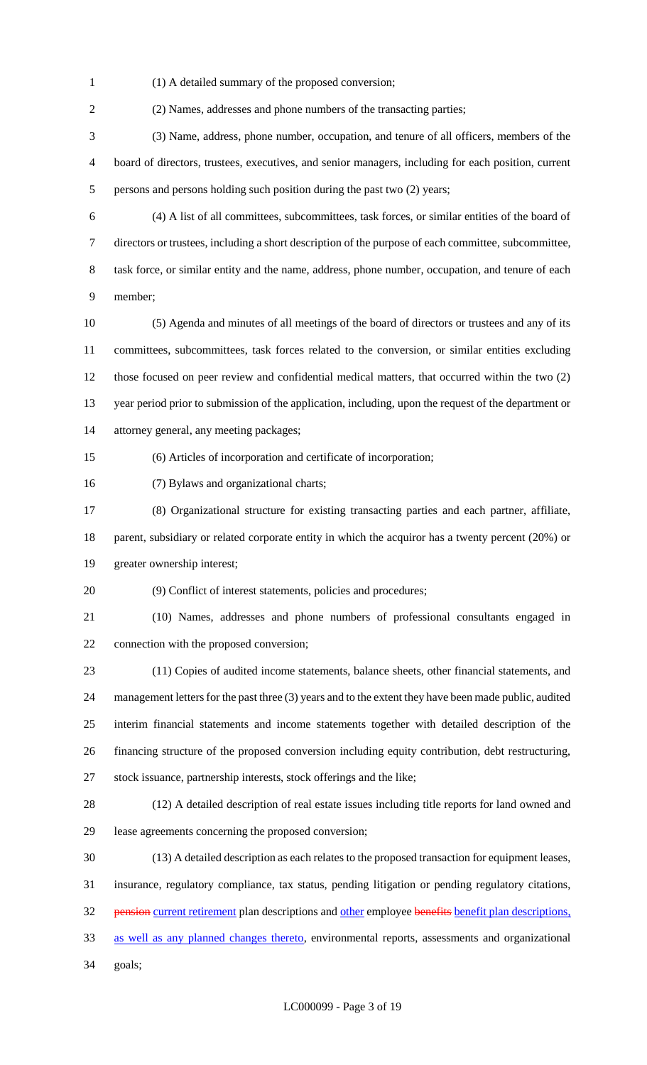(1) A detailed summary of the proposed conversion;

(2) Names, addresses and phone numbers of the transacting parties;

 (3) Name, address, phone number, occupation, and tenure of all officers, members of the board of directors, trustees, executives, and senior managers, including for each position, current persons and persons holding such position during the past two (2) years;

 (4) A list of all committees, subcommittees, task forces, or similar entities of the board of directors or trustees, including a short description of the purpose of each committee, subcommittee, task force, or similar entity and the name, address, phone number, occupation, and tenure of each member;

 (5) Agenda and minutes of all meetings of the board of directors or trustees and any of its committees, subcommittees, task forces related to the conversion, or similar entities excluding those focused on peer review and confidential medical matters, that occurred within the two (2) year period prior to submission of the application, including, upon the request of the department or attorney general, any meeting packages;

- (6) Articles of incorporation and certificate of incorporation;
- (7) Bylaws and organizational charts;

 (8) Organizational structure for existing transacting parties and each partner, affiliate, 18 parent, subsidiary or related corporate entity in which the acquiror has a twenty percent (20%) or

greater ownership interest;

(9) Conflict of interest statements, policies and procedures;

(10) Names, addresses and phone numbers of professional consultants engaged in

connection with the proposed conversion;

 (11) Copies of audited income statements, balance sheets, other financial statements, and management letters for the past three (3) years and to the extent they have been made public, audited interim financial statements and income statements together with detailed description of the financing structure of the proposed conversion including equity contribution, debt restructuring, stock issuance, partnership interests, stock offerings and the like;

 (12) A detailed description of real estate issues including title reports for land owned and lease agreements concerning the proposed conversion;

 (13) A detailed description as each relates to the proposed transaction for equipment leases, insurance, regulatory compliance, tax status, pending litigation or pending regulatory citations, 32 pension current retirement plan descriptions and other employee benefits benefit plan descriptions, as well as any planned changes thereto, environmental reports, assessments and organizational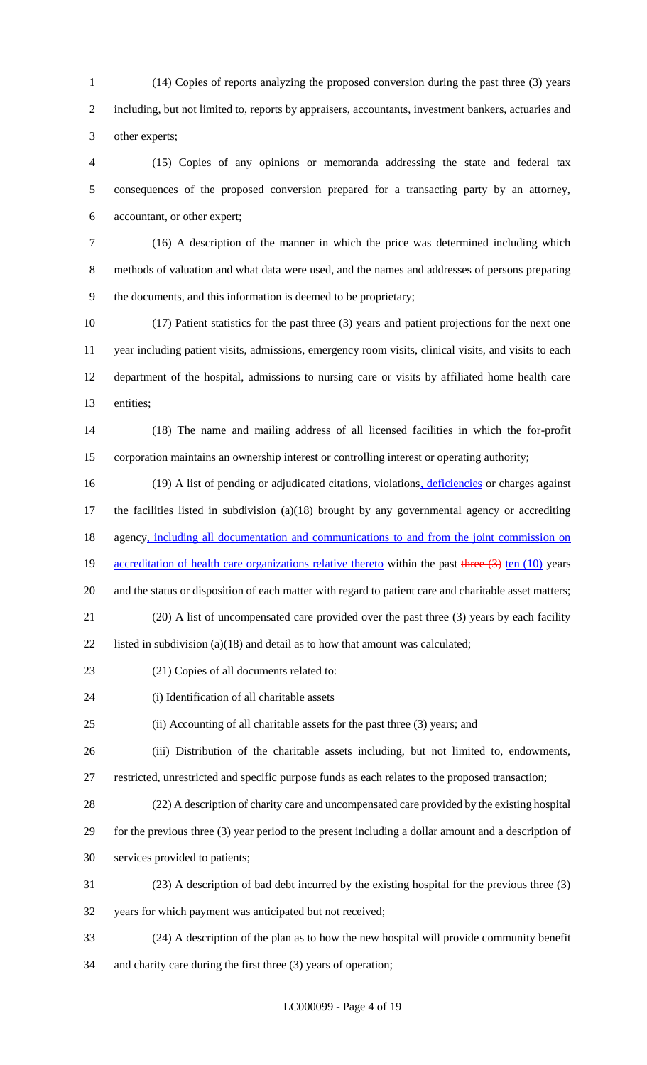(14) Copies of reports analyzing the proposed conversion during the past three (3) years including, but not limited to, reports by appraisers, accountants, investment bankers, actuaries and other experts;

 (15) Copies of any opinions or memoranda addressing the state and federal tax consequences of the proposed conversion prepared for a transacting party by an attorney, accountant, or other expert;

 (16) A description of the manner in which the price was determined including which methods of valuation and what data were used, and the names and addresses of persons preparing the documents, and this information is deemed to be proprietary;

 (17) Patient statistics for the past three (3) years and patient projections for the next one year including patient visits, admissions, emergency room visits, clinical visits, and visits to each department of the hospital, admissions to nursing care or visits by affiliated home health care entities;

 (18) The name and mailing address of all licensed facilities in which the for-profit corporation maintains an ownership interest or controlling interest or operating authority;

16 (19) A list of pending or adjudicated citations, violations, deficiencies or charges against the facilities listed in subdivision (a)(18) brought by any governmental agency or accrediting 18 agency, including all documentation and communications to and from the joint commission on 19 accreditation of health care organizations relative thereto within the past three (3) ten (10) years 20 and the status or disposition of each matter with regard to patient care and charitable asset matters; (20) A list of uncompensated care provided over the past three (3) years by each facility

22 listed in subdivision (a)(18) and detail as to how that amount was calculated;

(21) Copies of all documents related to:

(i) Identification of all charitable assets

(ii) Accounting of all charitable assets for the past three (3) years; and

(iii) Distribution of the charitable assets including, but not limited to, endowments,

restricted, unrestricted and specific purpose funds as each relates to the proposed transaction;

(22) A description of charity care and uncompensated care provided by the existing hospital

 for the previous three (3) year period to the present including a dollar amount and a description of services provided to patients;

(23) A description of bad debt incurred by the existing hospital for the previous three (3)

years for which payment was anticipated but not received;

 (24) A description of the plan as to how the new hospital will provide community benefit and charity care during the first three (3) years of operation;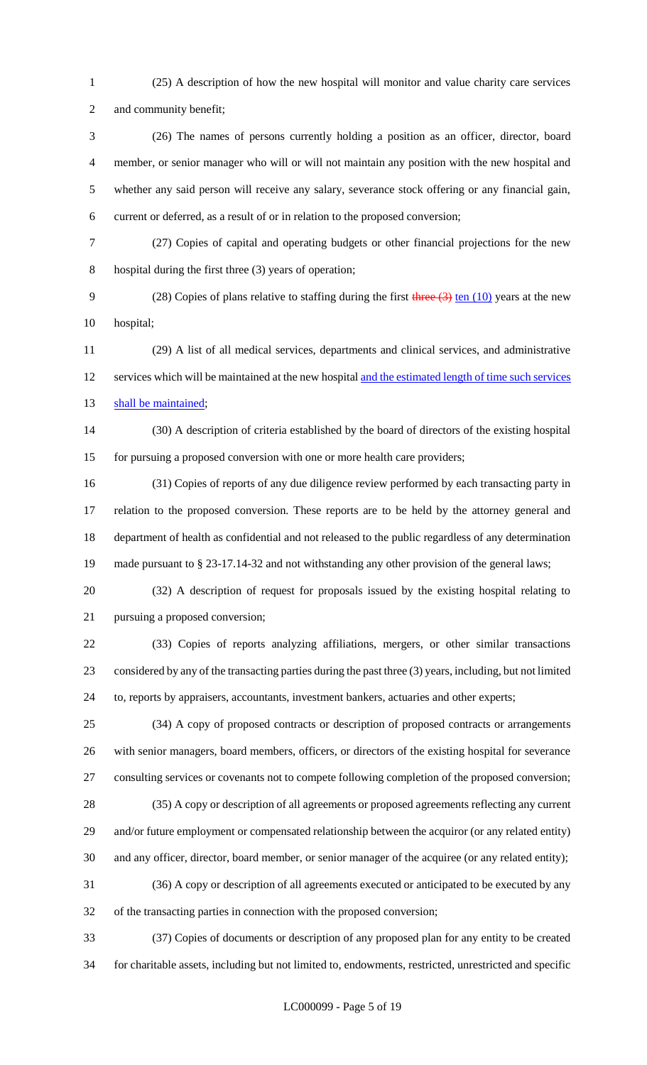(25) A description of how the new hospital will monitor and value charity care services

and community benefit;

 (26) The names of persons currently holding a position as an officer, director, board member, or senior manager who will or will not maintain any position with the new hospital and whether any said person will receive any salary, severance stock offering or any financial gain, current or deferred, as a result of or in relation to the proposed conversion;

 (27) Copies of capital and operating budgets or other financial projections for the new hospital during the first three (3) years of operation;

9 (28) Copies of plans relative to staffing during the first three (3) ten (10) years at the new hospital;

 (29) A list of all medical services, departments and clinical services, and administrative 12 services which will be maintained at the new hospital and the estimated length of time such services 13 shall be maintained;

 (30) A description of criteria established by the board of directors of the existing hospital for pursuing a proposed conversion with one or more health care providers;

 (31) Copies of reports of any due diligence review performed by each transacting party in relation to the proposed conversion. These reports are to be held by the attorney general and department of health as confidential and not released to the public regardless of any determination made pursuant to § 23-17.14-32 and not withstanding any other provision of the general laws;

 (32) A description of request for proposals issued by the existing hospital relating to pursuing a proposed conversion;

 (33) Copies of reports analyzing affiliations, mergers, or other similar transactions considered by any of the transacting parties during the past three (3) years, including, but not limited to, reports by appraisers, accountants, investment bankers, actuaries and other experts;

 (34) A copy of proposed contracts or description of proposed contracts or arrangements with senior managers, board members, officers, or directors of the existing hospital for severance consulting services or covenants not to compete following completion of the proposed conversion;

 (35) A copy or description of all agreements or proposed agreements reflecting any current and/or future employment or compensated relationship between the acquiror (or any related entity) and any officer, director, board member, or senior manager of the acquiree (or any related entity);

 (36) A copy or description of all agreements executed or anticipated to be executed by any of the transacting parties in connection with the proposed conversion;

 (37) Copies of documents or description of any proposed plan for any entity to be created for charitable assets, including but not limited to, endowments, restricted, unrestricted and specific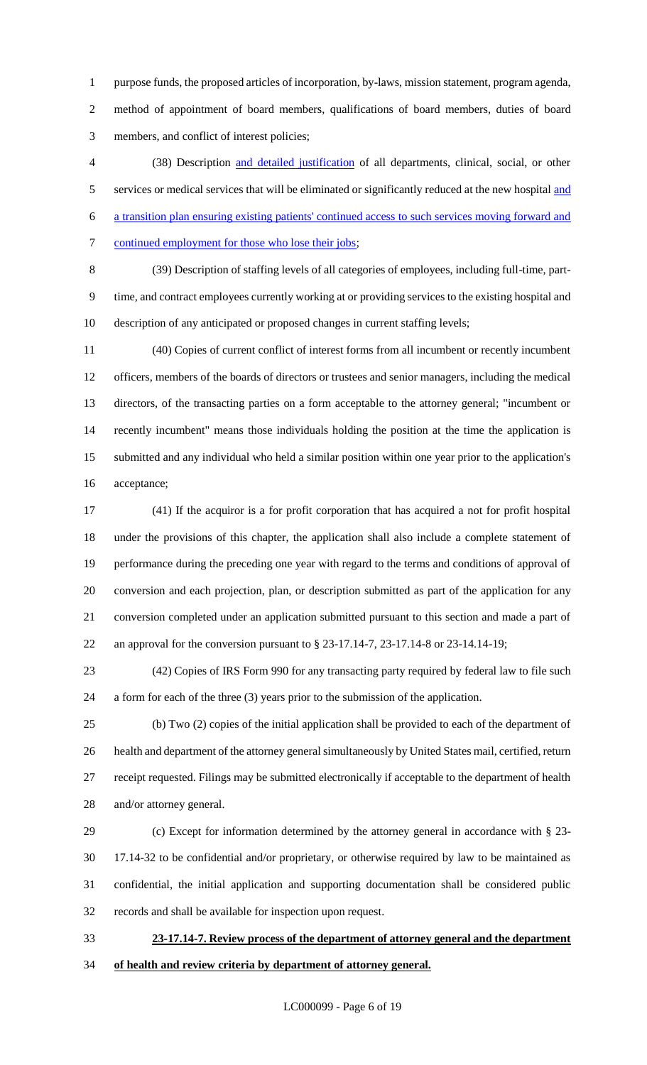purpose funds, the proposed articles of incorporation, by-laws, mission statement, program agenda, method of appointment of board members, qualifications of board members, duties of board members, and conflict of interest policies;

 (38) Description and detailed justification of all departments, clinical, social, or other 5 services or medical services that will be eliminated or significantly reduced at the new hospital and a transition plan ensuring existing patients' continued access to such services moving forward and 7 continued employment for those who lose their jobs;

 (39) Description of staffing levels of all categories of employees, including full-time, part- time, and contract employees currently working at or providing services to the existing hospital and description of any anticipated or proposed changes in current staffing levels;

 (40) Copies of current conflict of interest forms from all incumbent or recently incumbent officers, members of the boards of directors or trustees and senior managers, including the medical directors, of the transacting parties on a form acceptable to the attorney general; "incumbent or recently incumbent" means those individuals holding the position at the time the application is submitted and any individual who held a similar position within one year prior to the application's acceptance;

 (41) If the acquiror is a for profit corporation that has acquired a not for profit hospital under the provisions of this chapter, the application shall also include a complete statement of performance during the preceding one year with regard to the terms and conditions of approval of conversion and each projection, plan, or description submitted as part of the application for any conversion completed under an application submitted pursuant to this section and made a part of an approval for the conversion pursuant to § 23-17.14-7, 23-17.14-8 or 23-14.14-19;

 (42) Copies of IRS Form 990 for any transacting party required by federal law to file such a form for each of the three (3) years prior to the submission of the application.

 (b) Two (2) copies of the initial application shall be provided to each of the department of health and department of the attorney general simultaneously by United States mail, certified, return receipt requested. Filings may be submitted electronically if acceptable to the department of health and/or attorney general.

 (c) Except for information determined by the attorney general in accordance with § 23- 17.14-32 to be confidential and/or proprietary, or otherwise required by law to be maintained as confidential, the initial application and supporting documentation shall be considered public records and shall be available for inspection upon request.

 **23-17.14-7. Review process of the department of attorney general and the department of health and review criteria by department of attorney general.**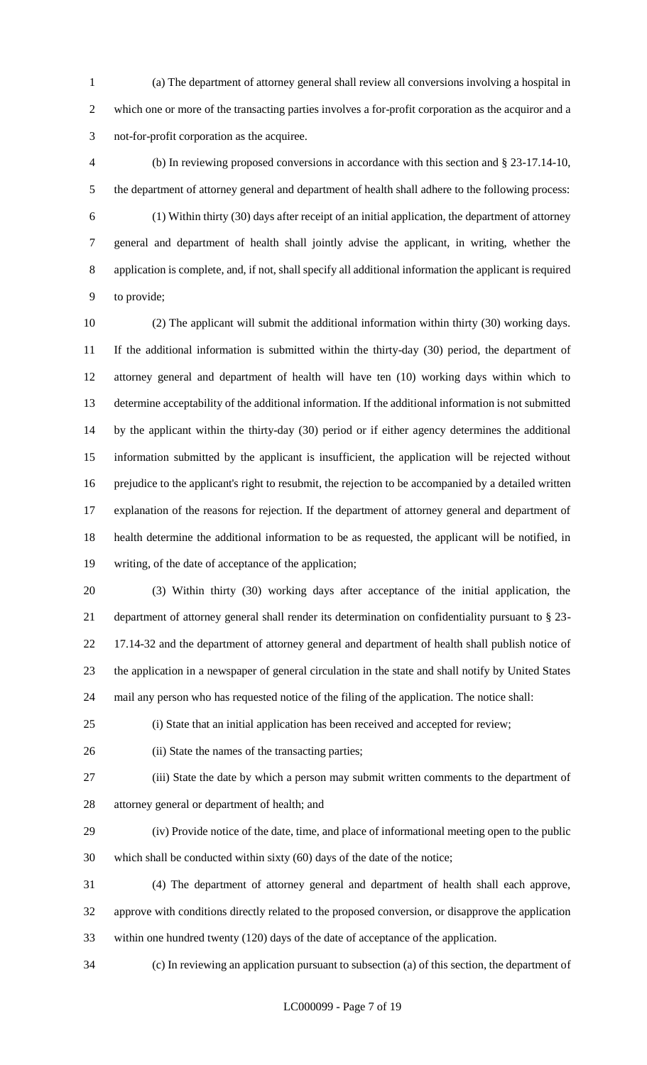(a) The department of attorney general shall review all conversions involving a hospital in which one or more of the transacting parties involves a for-profit corporation as the acquiror and a not-for-profit corporation as the acquiree.

 (b) In reviewing proposed conversions in accordance with this section and § 23-17.14-10, the department of attorney general and department of health shall adhere to the following process: (1) Within thirty (30) days after receipt of an initial application, the department of attorney general and department of health shall jointly advise the applicant, in writing, whether the application is complete, and, if not, shall specify all additional information the applicant is required to provide;

 (2) The applicant will submit the additional information within thirty (30) working days. If the additional information is submitted within the thirty-day (30) period, the department of attorney general and department of health will have ten (10) working days within which to determine acceptability of the additional information. If the additional information is not submitted by the applicant within the thirty-day (30) period or if either agency determines the additional information submitted by the applicant is insufficient, the application will be rejected without prejudice to the applicant's right to resubmit, the rejection to be accompanied by a detailed written explanation of the reasons for rejection. If the department of attorney general and department of health determine the additional information to be as requested, the applicant will be notified, in writing, of the date of acceptance of the application;

 (3) Within thirty (30) working days after acceptance of the initial application, the department of attorney general shall render its determination on confidentiality pursuant to § 23- 17.14-32 and the department of attorney general and department of health shall publish notice of the application in a newspaper of general circulation in the state and shall notify by United States mail any person who has requested notice of the filing of the application. The notice shall:

(i) State that an initial application has been received and accepted for review;

(ii) State the names of the transacting parties;

(iii) State the date by which a person may submit written comments to the department of

attorney general or department of health; and

 (iv) Provide notice of the date, time, and place of informational meeting open to the public which shall be conducted within sixty (60) days of the date of the notice;

 (4) The department of attorney general and department of health shall each approve, approve with conditions directly related to the proposed conversion, or disapprove the application within one hundred twenty (120) days of the date of acceptance of the application.

(c) In reviewing an application pursuant to subsection (a) of this section, the department of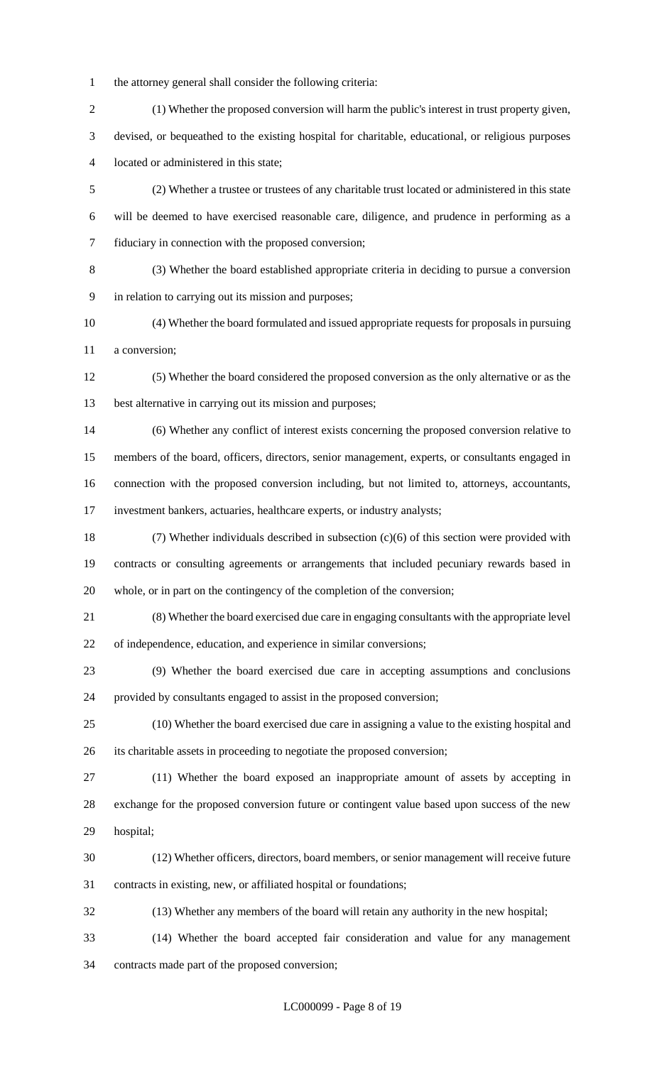- the attorney general shall consider the following criteria: (1) Whether the proposed conversion will harm the public's interest in trust property given, devised, or bequeathed to the existing hospital for charitable, educational, or religious purposes located or administered in this state; (2) Whether a trustee or trustees of any charitable trust located or administered in this state will be deemed to have exercised reasonable care, diligence, and prudence in performing as a fiduciary in connection with the proposed conversion; (3) Whether the board established appropriate criteria in deciding to pursue a conversion in relation to carrying out its mission and purposes; (4) Whether the board formulated and issued appropriate requests for proposals in pursuing a conversion; (5) Whether the board considered the proposed conversion as the only alternative or as the best alternative in carrying out its mission and purposes; (6) Whether any conflict of interest exists concerning the proposed conversion relative to members of the board, officers, directors, senior management, experts, or consultants engaged in connection with the proposed conversion including, but not limited to, attorneys, accountants, investment bankers, actuaries, healthcare experts, or industry analysts; (7) Whether individuals described in subsection (c)(6) of this section were provided with contracts or consulting agreements or arrangements that included pecuniary rewards based in whole, or in part on the contingency of the completion of the conversion; (8) Whether the board exercised due care in engaging consultants with the appropriate level of independence, education, and experience in similar conversions; (9) Whether the board exercised due care in accepting assumptions and conclusions provided by consultants engaged to assist in the proposed conversion; (10) Whether the board exercised due care in assigning a value to the existing hospital and its charitable assets in proceeding to negotiate the proposed conversion; (11) Whether the board exposed an inappropriate amount of assets by accepting in exchange for the proposed conversion future or contingent value based upon success of the new hospital; (12) Whether officers, directors, board members, or senior management will receive future contracts in existing, new, or affiliated hospital or foundations; (13) Whether any members of the board will retain any authority in the new hospital;
- (14) Whether the board accepted fair consideration and value for any management contracts made part of the proposed conversion;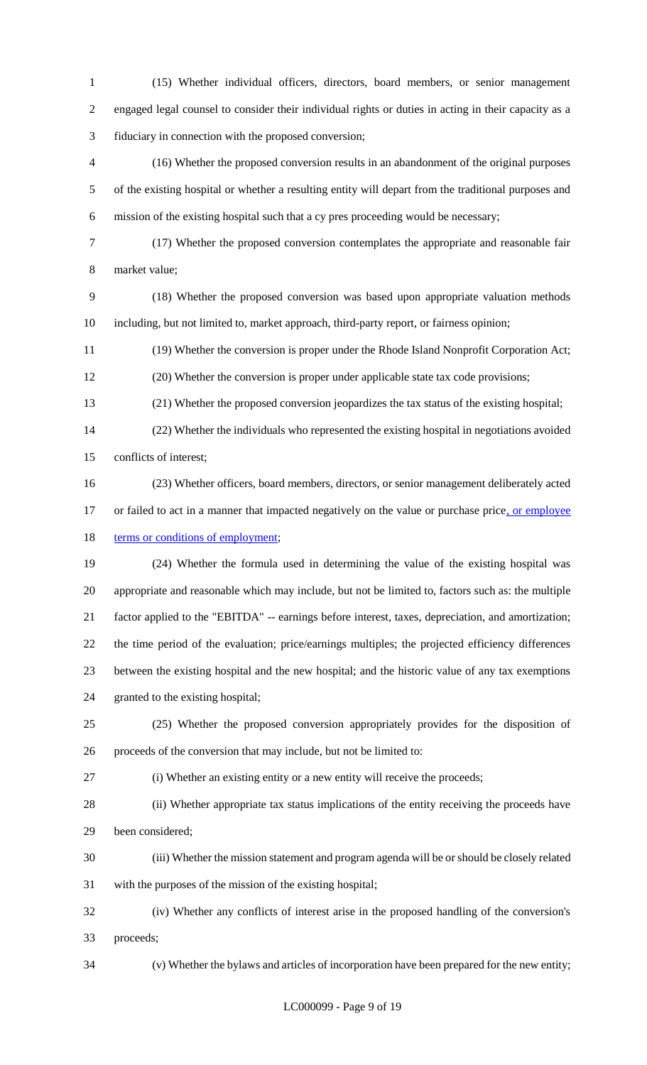(15) Whether individual officers, directors, board members, or senior management engaged legal counsel to consider their individual rights or duties in acting in their capacity as a fiduciary in connection with the proposed conversion;

 (16) Whether the proposed conversion results in an abandonment of the original purposes of the existing hospital or whether a resulting entity will depart from the traditional purposes and mission of the existing hospital such that a cy pres proceeding would be necessary;

 (17) Whether the proposed conversion contemplates the appropriate and reasonable fair market value;

 (18) Whether the proposed conversion was based upon appropriate valuation methods including, but not limited to, market approach, third-party report, or fairness opinion;

(19) Whether the conversion is proper under the Rhode Island Nonprofit Corporation Act;

(20) Whether the conversion is proper under applicable state tax code provisions;

(21) Whether the proposed conversion jeopardizes the tax status of the existing hospital;

 (22) Whether the individuals who represented the existing hospital in negotiations avoided conflicts of interest;

(23) Whether officers, board members, directors, or senior management deliberately acted

17 or failed to act in a manner that impacted negatively on the value or purchase price, or employee 18 terms or conditions of employment;

 (24) Whether the formula used in determining the value of the existing hospital was appropriate and reasonable which may include, but not be limited to, factors such as: the multiple factor applied to the "EBITDA" -- earnings before interest, taxes, depreciation, and amortization; the time period of the evaluation; price/earnings multiples; the projected efficiency differences between the existing hospital and the new hospital; and the historic value of any tax exemptions granted to the existing hospital;

 (25) Whether the proposed conversion appropriately provides for the disposition of proceeds of the conversion that may include, but not be limited to:

(i) Whether an existing entity or a new entity will receive the proceeds;

 (ii) Whether appropriate tax status implications of the entity receiving the proceeds have been considered;

 (iii) Whether the mission statement and program agenda will be or should be closely related with the purposes of the mission of the existing hospital;

 (iv) Whether any conflicts of interest arise in the proposed handling of the conversion's proceeds;

(v) Whether the bylaws and articles of incorporation have been prepared for the new entity;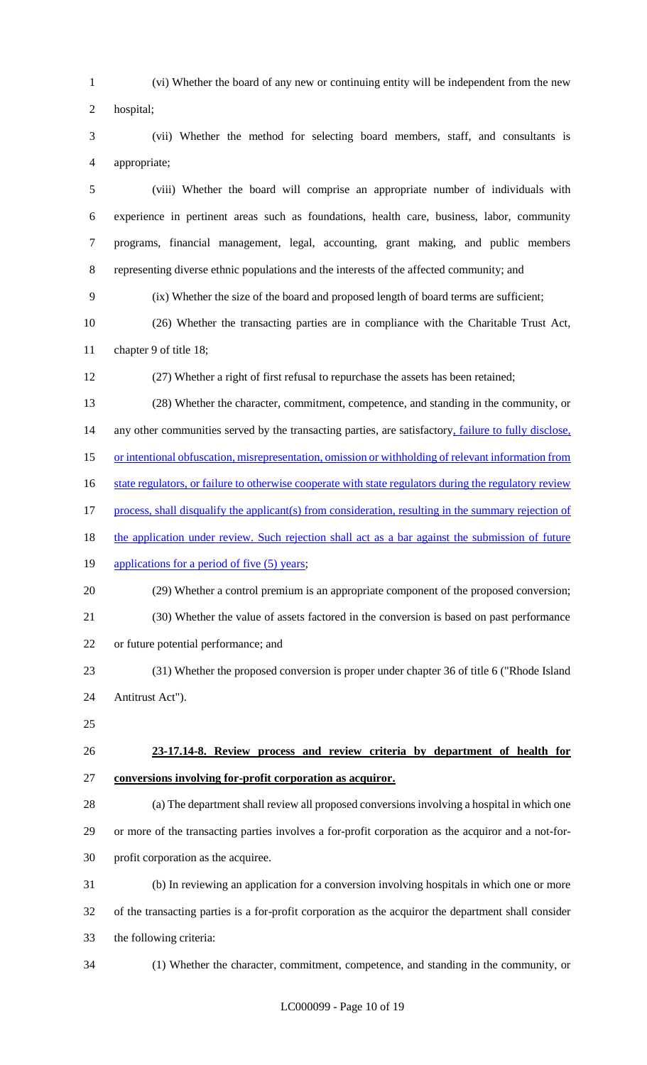(vi) Whether the board of any new or continuing entity will be independent from the new hospital; (vii) Whether the method for selecting board members, staff, and consultants is appropriate; (viii) Whether the board will comprise an appropriate number of individuals with experience in pertinent areas such as foundations, health care, business, labor, community programs, financial management, legal, accounting, grant making, and public members representing diverse ethnic populations and the interests of the affected community; and (ix) Whether the size of the board and proposed length of board terms are sufficient; (26) Whether the transacting parties are in compliance with the Charitable Trust Act, chapter 9 of title 18; (27) Whether a right of first refusal to repurchase the assets has been retained; (28) Whether the character, commitment, competence, and standing in the community, or 14 any other communities served by the transacting parties, are satisfactory, *failure to fully disclose*, or intentional obfuscation, misrepresentation, omission or withholding of relevant information from 16 state regulators, or failure to otherwise cooperate with state regulators during the regulatory review process, shall disqualify the applicant(s) from consideration, resulting in the summary rejection of 18 the application under review. Such rejection shall act as a bar against the submission of future 19 applications for a period of five (5) years; (29) Whether a control premium is an appropriate component of the proposed conversion; (30) Whether the value of assets factored in the conversion is based on past performance or future potential performance; and (31) Whether the proposed conversion is proper under chapter 36 of title 6 ("Rhode Island Antitrust Act"). **23-17.14-8. Review process and review criteria by department of health for conversions involving for-profit corporation as acquiror.** (a) The department shall review all proposed conversions involving a hospital in which one or more of the transacting parties involves a for-profit corporation as the acquiror and a not-for- profit corporation as the acquiree. (b) In reviewing an application for a conversion involving hospitals in which one or more of the transacting parties is a for-profit corporation as the acquiror the department shall consider the following criteria: (1) Whether the character, commitment, competence, and standing in the community, or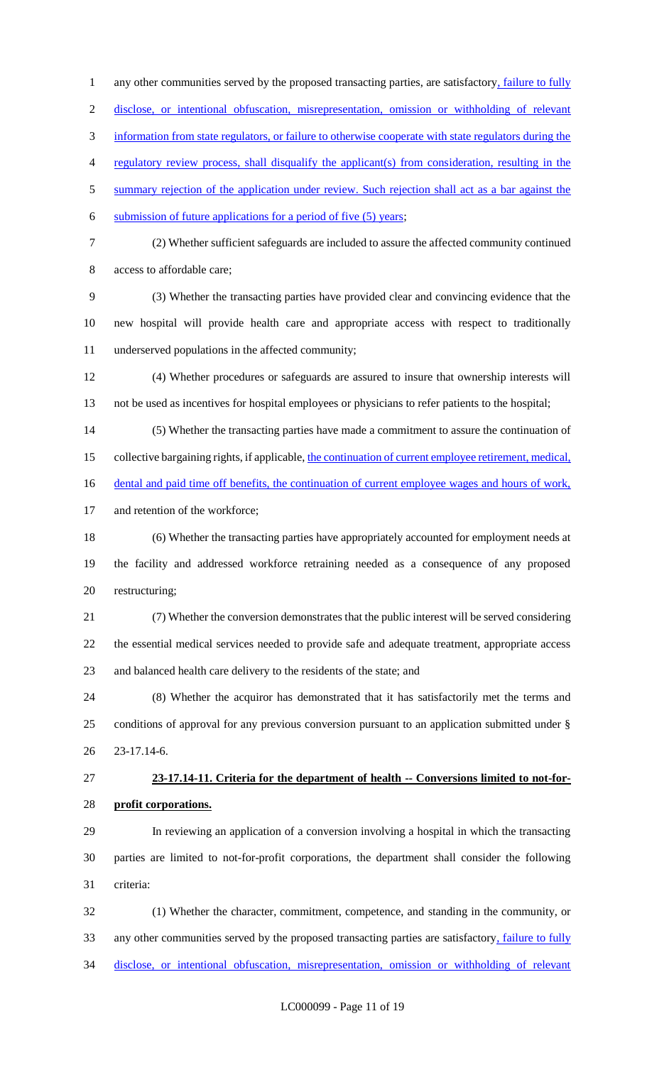1 any other communities served by the proposed transacting parties, are satisfactory, failure to fully disclose, or intentional obfuscation, misrepresentation, omission or withholding of relevant information from state regulators, or failure to otherwise cooperate with state regulators during the regulatory review process, shall disqualify the applicant(s) from consideration, resulting in the 5 summary rejection of the application under review. Such rejection shall act as a bar against the submission of future applications for a period of five (5) years; (2) Whether sufficient safeguards are included to assure the affected community continued access to affordable care; (3) Whether the transacting parties have provided clear and convincing evidence that the new hospital will provide health care and appropriate access with respect to traditionally underserved populations in the affected community; (4) Whether procedures or safeguards are assured to insure that ownership interests will not be used as incentives for hospital employees or physicians to refer patients to the hospital; (5) Whether the transacting parties have made a commitment to assure the continuation of 15 collective bargaining rights, if applicable, the continuation of current employee retirement, medical, 16 dental and paid time off benefits, the continuation of current employee wages and hours of work, and retention of the workforce; (6) Whether the transacting parties have appropriately accounted for employment needs at the facility and addressed workforce retraining needed as a consequence of any proposed restructuring; (7) Whether the conversion demonstrates that the public interest will be served considering the essential medical services needed to provide safe and adequate treatment, appropriate access and balanced health care delivery to the residents of the state; and (8) Whether the acquiror has demonstrated that it has satisfactorily met the terms and conditions of approval for any previous conversion pursuant to an application submitted under § 23-17.14-6. **23-17.14-11. Criteria for the department of health -- Conversions limited to not-for- profit corporations.** In reviewing an application of a conversion involving a hospital in which the transacting parties are limited to not-for-profit corporations, the department shall consider the following criteria: (1) Whether the character, commitment, competence, and standing in the community, or 33 any other communities served by the proposed transacting parties are satisfactory, failure to fully

34 disclose, or intentional obfuscation, misrepresentation, omission or withholding of relevant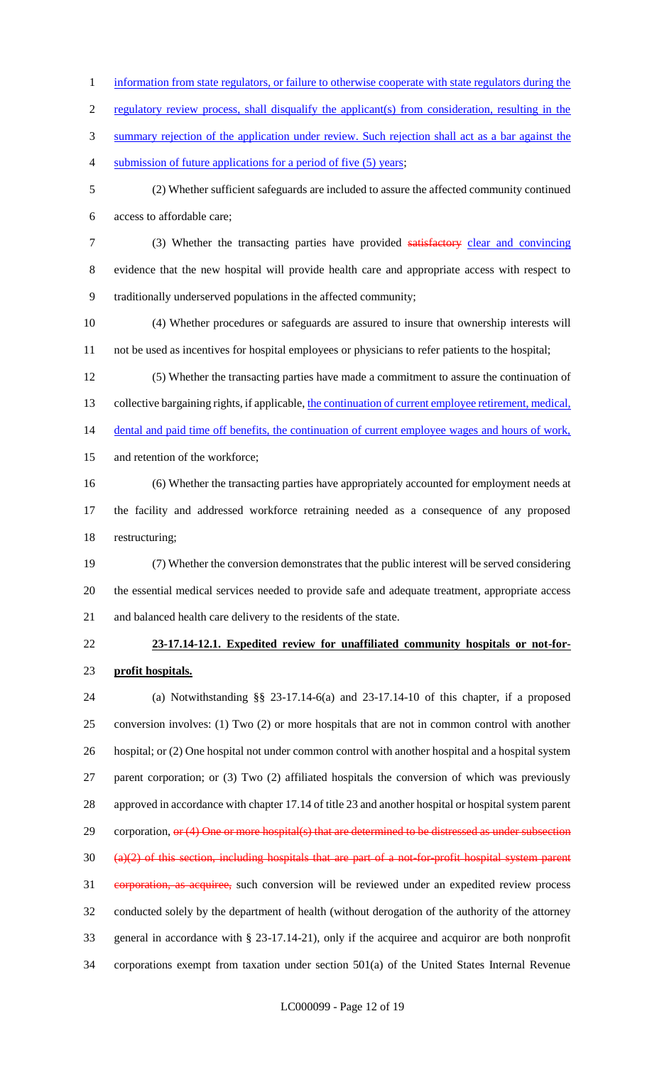- information from state regulators, or failure to otherwise cooperate with state regulators during the
- 2 regulatory review process, shall disqualify the applicant(s) from consideration, resulting in the
- summary rejection of the application under review. Such rejection shall act as a bar against the
- submission of future applications for a period of five (5) years;
- (2) Whether sufficient safeguards are included to assure the affected community continued access to affordable care;
- (3) Whether the transacting parties have provided satisfactory clear and convincing evidence that the new hospital will provide health care and appropriate access with respect to traditionally underserved populations in the affected community;
- (4) Whether procedures or safeguards are assured to insure that ownership interests will not be used as incentives for hospital employees or physicians to refer patients to the hospital;
- (5) Whether the transacting parties have made a commitment to assure the continuation of 13 collective bargaining rights, if applicable, the continuation of current employee retirement, medical, 14 dental and paid time off benefits, the continuation of current employee wages and hours of work, and retention of the workforce;
- (6) Whether the transacting parties have appropriately accounted for employment needs at the facility and addressed workforce retraining needed as a consequence of any proposed restructuring;
- (7) Whether the conversion demonstrates that the public interest will be served considering the essential medical services needed to provide safe and adequate treatment, appropriate access and balanced health care delivery to the residents of the state.
- 

# **23-17.14-12.1. Expedited review for unaffiliated community hospitals or not-for-profit hospitals.**

 (a) Notwithstanding §§ 23-17.14-6(a) and 23-17.14-10 of this chapter, if a proposed conversion involves: (1) Two (2) or more hospitals that are not in common control with another hospital; or (2) One hospital not under common control with another hospital and a hospital system parent corporation; or (3) Two (2) affiliated hospitals the conversion of which was previously approved in accordance with chapter 17.14 of title 23 and another hospital or hospital system parent 29 corporation, or (4) One or more hospital(s) that are determined to be distressed as under subsection (a)(2) of this section, including hospitals that are part of a not-for-profit hospital system parent 31 corporation, as acquiree, such conversion will be reviewed under an expedited review process conducted solely by the department of health (without derogation of the authority of the attorney general in accordance with § 23-17.14-21), only if the acquiree and acquiror are both nonprofit corporations exempt from taxation under section 501(a) of the United States Internal Revenue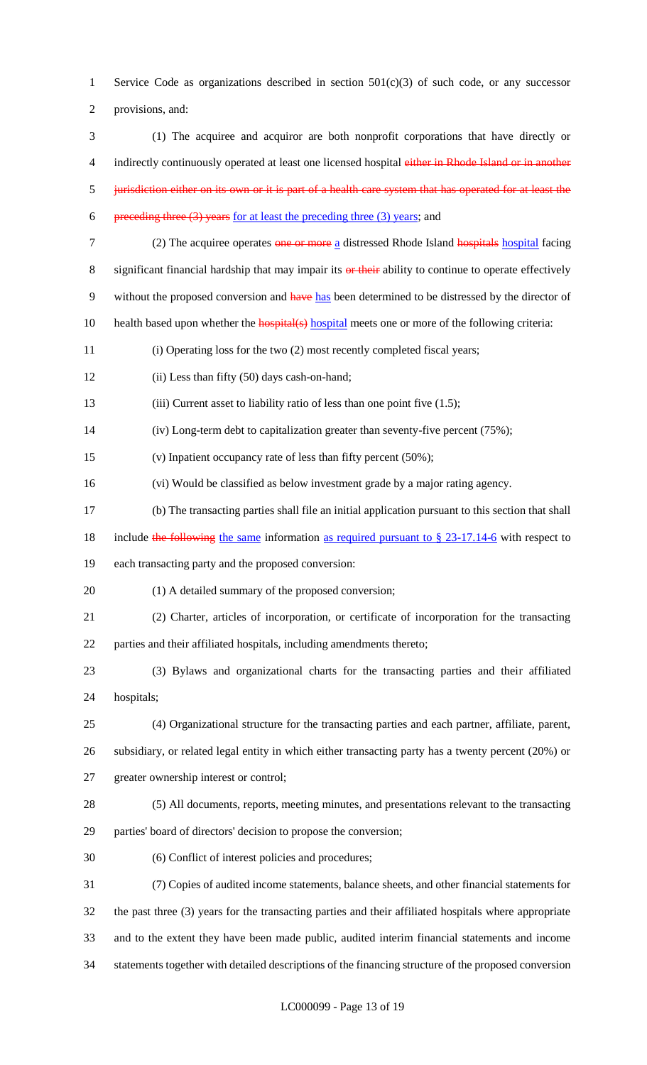1 Service Code as organizations described in section  $501(c)(3)$  of such code, or any successor provisions, and:

- (1) The acquiree and acquiror are both nonprofit corporations that have directly or 4 indirectly continuously operated at least one licensed hospital either in Rhode Island or in another jurisdiction either on its own or it is part of a health care system that has operated for at least the 6 preceding three (3) years for at least the preceding three (3) years; and
- 
- 7 (2) The acquiree operates one or more a distressed Rhode Island hospitals hospital facing
- 8 significant financial hardship that may impair its or their ability to continue to operate effectively
- 9 without the proposed conversion and have has been determined to be distressed by the director of
- 10 health based upon whether the **hospital**(s) hospital meets one or more of the following criteria:
- (i) Operating loss for the two (2) most recently completed fiscal years;
- (ii) Less than fifty (50) days cash-on-hand;
- 13 (iii) Current asset to liability ratio of less than one point five (1.5);
- (iv) Long-term debt to capitalization greater than seventy-five percent (75%);
- (v) Inpatient occupancy rate of less than fifty percent (50%);
- (vi) Would be classified as below investment grade by a major rating agency.
- (b) The transacting parties shall file an initial application pursuant to this section that shall
- 18 include the following the same information as required pursuant to § 23-17.14-6 with respect to
- each transacting party and the proposed conversion:
- 20 (1) A detailed summary of the proposed conversion;
- (2) Charter, articles of incorporation, or certificate of incorporation for the transacting parties and their affiliated hospitals, including amendments thereto;
- (3) Bylaws and organizational charts for the transacting parties and their affiliated hospitals;
- (4) Organizational structure for the transacting parties and each partner, affiliate, parent,
- subsidiary, or related legal entity in which either transacting party has a twenty percent (20%) or
- greater ownership interest or control;
- (5) All documents, reports, meeting minutes, and presentations relevant to the transacting parties' board of directors' decision to propose the conversion;
- (6) Conflict of interest policies and procedures;

 (7) Copies of audited income statements, balance sheets, and other financial statements for the past three (3) years for the transacting parties and their affiliated hospitals where appropriate and to the extent they have been made public, audited interim financial statements and income statements together with detailed descriptions of the financing structure of the proposed conversion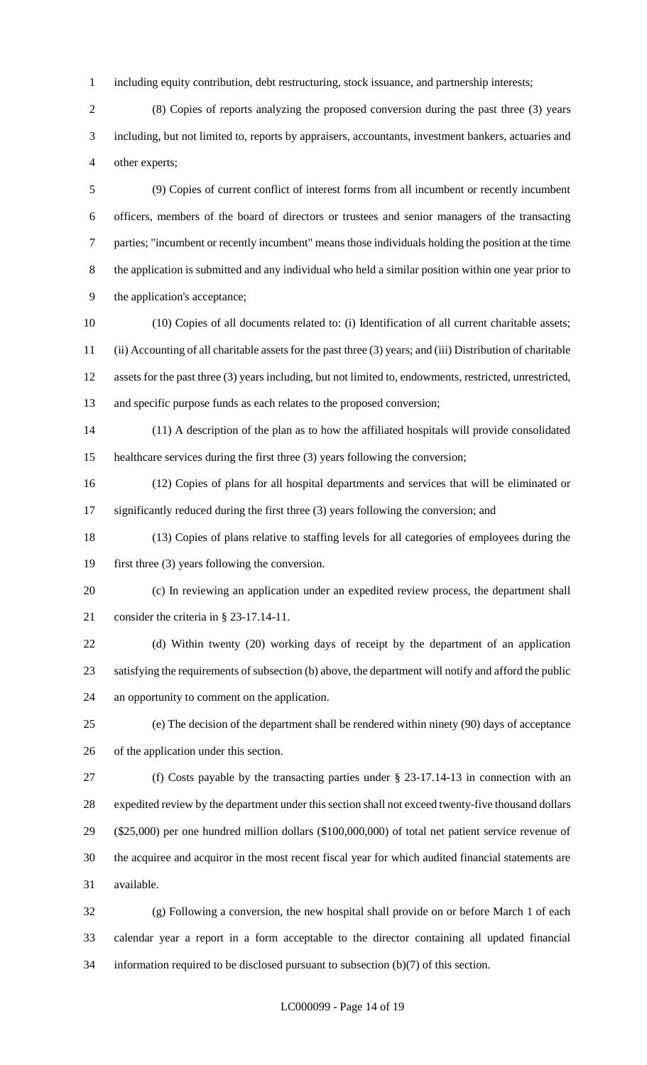including equity contribution, debt restructuring, stock issuance, and partnership interests;

 (8) Copies of reports analyzing the proposed conversion during the past three (3) years including, but not limited to, reports by appraisers, accountants, investment bankers, actuaries and other experts;

 (9) Copies of current conflict of interest forms from all incumbent or recently incumbent officers, members of the board of directors or trustees and senior managers of the transacting parties; "incumbent or recently incumbent" means those individuals holding the position at the time the application is submitted and any individual who held a similar position within one year prior to the application's acceptance;

 (10) Copies of all documents related to: (i) Identification of all current charitable assets; (ii) Accounting of all charitable assets for the past three (3) years; and (iii) Distribution of charitable assets for the past three (3) years including, but not limited to, endowments, restricted, unrestricted, and specific purpose funds as each relates to the proposed conversion;

 (11) A description of the plan as to how the affiliated hospitals will provide consolidated healthcare services during the first three (3) years following the conversion;

 (12) Copies of plans for all hospital departments and services that will be eliminated or 17 significantly reduced during the first three (3) years following the conversion; and

 (13) Copies of plans relative to staffing levels for all categories of employees during the first three (3) years following the conversion.

 (c) In reviewing an application under an expedited review process, the department shall consider the criteria in § 23-17.14-11.

 (d) Within twenty (20) working days of receipt by the department of an application satisfying the requirements of subsection (b) above, the department will notify and afford the public an opportunity to comment on the application.

 (e) The decision of the department shall be rendered within ninety (90) days of acceptance of the application under this section.

 (f) Costs payable by the transacting parties under § 23-17.14-13 in connection with an expedited review by the department under this section shall not exceed twenty-five thousand dollars (\$25,000) per one hundred million dollars (\$100,000,000) of total net patient service revenue of the acquiree and acquiror in the most recent fiscal year for which audited financial statements are available.

 (g) Following a conversion, the new hospital shall provide on or before March 1 of each calendar year a report in a form acceptable to the director containing all updated financial information required to be disclosed pursuant to subsection (b)(7) of this section.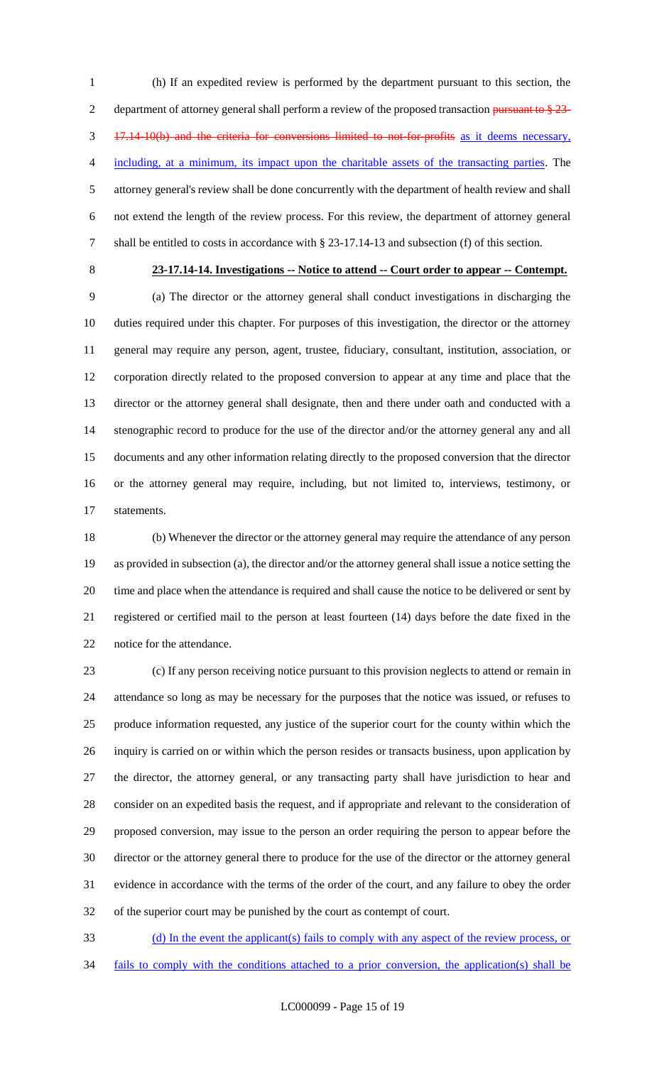(h) If an expedited review is performed by the department pursuant to this section, the 2 department of attorney general shall perform a review of the proposed transaction pursuant to  $\S 23$ - 17.14-10(b) and the criteria for conversions limited to not-for-profits as it deems necessary, including, at a minimum, its impact upon the charitable assets of the transacting parties. The attorney general's review shall be done concurrently with the department of health review and shall not extend the length of the review process. For this review, the department of attorney general shall be entitled to costs in accordance with § 23-17.14-13 and subsection (f) of this section.

# **23-17.14-14. Investigations -- Notice to attend -- Court order to appear -- Contempt.**

 (a) The director or the attorney general shall conduct investigations in discharging the duties required under this chapter. For purposes of this investigation, the director or the attorney general may require any person, agent, trustee, fiduciary, consultant, institution, association, or corporation directly related to the proposed conversion to appear at any time and place that the director or the attorney general shall designate, then and there under oath and conducted with a stenographic record to produce for the use of the director and/or the attorney general any and all documents and any other information relating directly to the proposed conversion that the director or the attorney general may require, including, but not limited to, interviews, testimony, or statements.

 (b) Whenever the director or the attorney general may require the attendance of any person as provided in subsection (a), the director and/or the attorney general shall issue a notice setting the time and place when the attendance is required and shall cause the notice to be delivered or sent by registered or certified mail to the person at least fourteen (14) days before the date fixed in the notice for the attendance.

 (c) If any person receiving notice pursuant to this provision neglects to attend or remain in attendance so long as may be necessary for the purposes that the notice was issued, or refuses to produce information requested, any justice of the superior court for the county within which the inquiry is carried on or within which the person resides or transacts business, upon application by the director, the attorney general, or any transacting party shall have jurisdiction to hear and consider on an expedited basis the request, and if appropriate and relevant to the consideration of proposed conversion, may issue to the person an order requiring the person to appear before the director or the attorney general there to produce for the use of the director or the attorney general evidence in accordance with the terms of the order of the court, and any failure to obey the order of the superior court may be punished by the court as contempt of court.

 (d) In the event the applicant(s) fails to comply with any aspect of the review process, or fails to comply with the conditions attached to a prior conversion, the application(s) shall be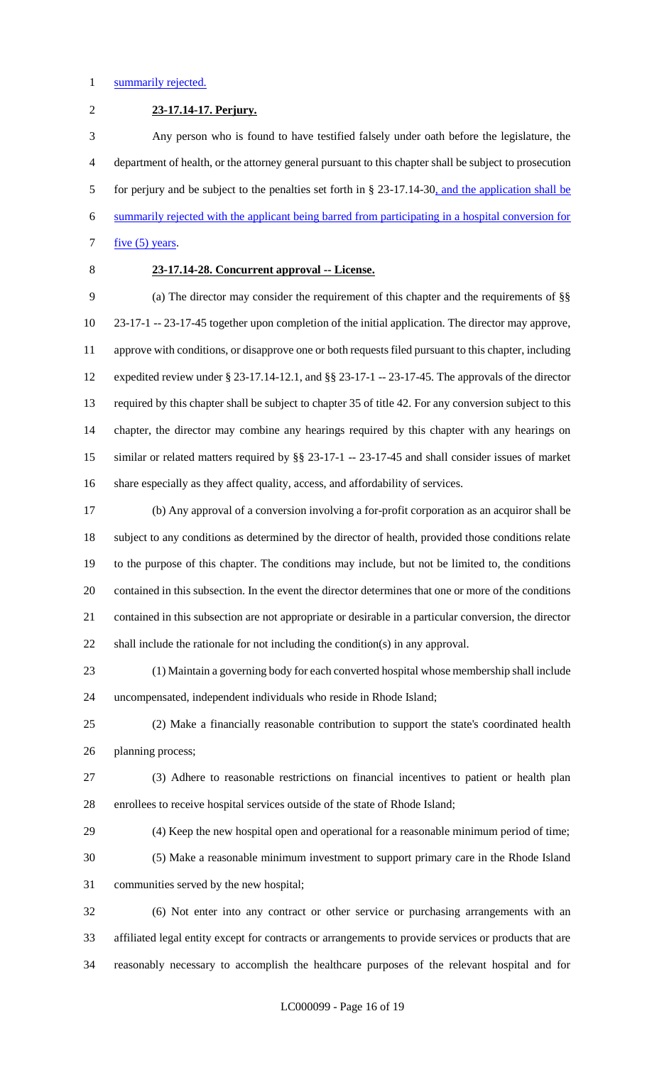#### 1 summarily rejected.

**23-17.14-17. Perjury.**

 Any person who is found to have testified falsely under oath before the legislature, the department of health, or the attorney general pursuant to this chapter shall be subject to prosecution for perjury and be subject to the penalties set forth in § 23-17.14-30, and the application shall be summarily rejected with the applicant being barred from participating in a hospital conversion for  $five (5) years$ .

# **23-17.14-28. Concurrent approval -- License.**

 (a) The director may consider the requirement of this chapter and the requirements of §§ 23-17-1 -- 23-17-45 together upon completion of the initial application. The director may approve, approve with conditions, or disapprove one or both requests filed pursuant to this chapter, including expedited review under § 23-17.14-12.1, and §§ 23-17-1 -- 23-17-45. The approvals of the director required by this chapter shall be subject to chapter 35 of title 42. For any conversion subject to this chapter, the director may combine any hearings required by this chapter with any hearings on similar or related matters required by §§ 23-17-1 -- 23-17-45 and shall consider issues of market share especially as they affect quality, access, and affordability of services.

 (b) Any approval of a conversion involving a for-profit corporation as an acquiror shall be subject to any conditions as determined by the director of health, provided those conditions relate to the purpose of this chapter. The conditions may include, but not be limited to, the conditions contained in this subsection. In the event the director determines that one or more of the conditions contained in this subsection are not appropriate or desirable in a particular conversion, the director shall include the rationale for not including the condition(s) in any approval.

 (1) Maintain a governing body for each converted hospital whose membership shall include uncompensated, independent individuals who reside in Rhode Island;

 (2) Make a financially reasonable contribution to support the state's coordinated health planning process;

 (3) Adhere to reasonable restrictions on financial incentives to patient or health plan enrollees to receive hospital services outside of the state of Rhode Island;

 (4) Keep the new hospital open and operational for a reasonable minimum period of time; (5) Make a reasonable minimum investment to support primary care in the Rhode Island communities served by the new hospital;

 (6) Not enter into any contract or other service or purchasing arrangements with an affiliated legal entity except for contracts or arrangements to provide services or products that are reasonably necessary to accomplish the healthcare purposes of the relevant hospital and for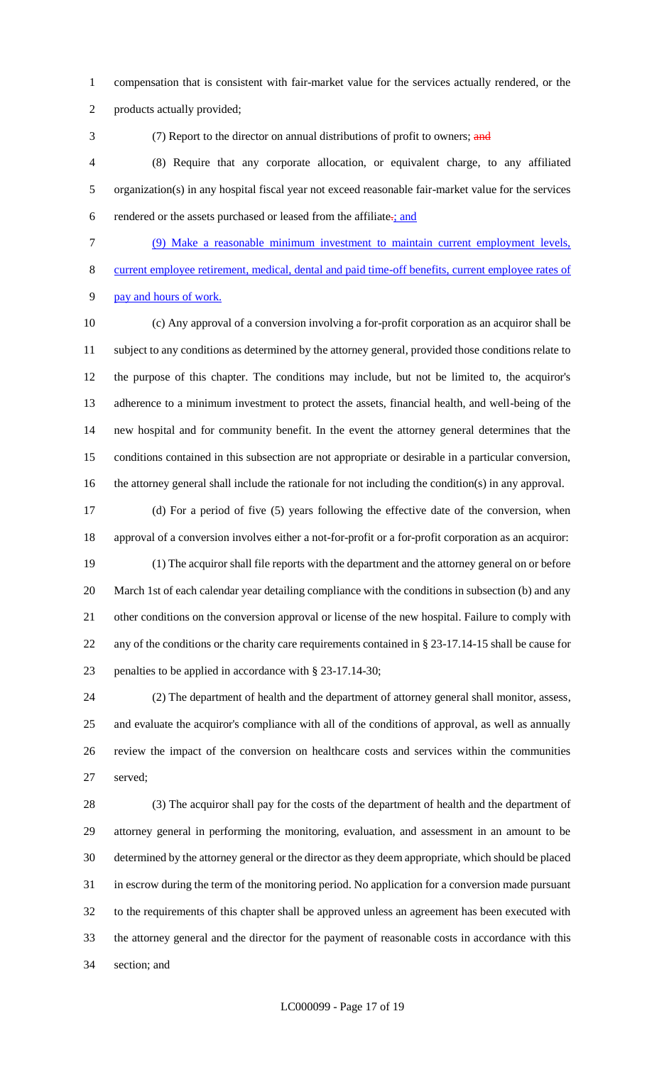compensation that is consistent with fair-market value for the services actually rendered, or the

products actually provided;

3 (7) Report to the director on annual distributions of profit to owners; and (8) Require that any corporate allocation, or equivalent charge, to any affiliated organization(s) in any hospital fiscal year not exceed reasonable fair-market value for the services

6 rendered or the assets purchased or leased from the affiliate $\div$ ; and

(9) Make a reasonable minimum investment to maintain current employment levels,

current employee retirement, medical, dental and paid time-off benefits, current employee rates of

pay and hours of work.

 (c) Any approval of a conversion involving a for-profit corporation as an acquiror shall be subject to any conditions as determined by the attorney general, provided those conditions relate to the purpose of this chapter. The conditions may include, but not be limited to, the acquiror's adherence to a minimum investment to protect the assets, financial health, and well-being of the new hospital and for community benefit. In the event the attorney general determines that the conditions contained in this subsection are not appropriate or desirable in a particular conversion, the attorney general shall include the rationale for not including the condition(s) in any approval.

 (d) For a period of five (5) years following the effective date of the conversion, when approval of a conversion involves either a not-for-profit or a for-profit corporation as an acquiror:

 (1) The acquiror shall file reports with the department and the attorney general on or before March 1st of each calendar year detailing compliance with the conditions in subsection (b) and any other conditions on the conversion approval or license of the new hospital. Failure to comply with any of the conditions or the charity care requirements contained in § 23-17.14-15 shall be cause for penalties to be applied in accordance with § 23-17.14-30;

 (2) The department of health and the department of attorney general shall monitor, assess, and evaluate the acquiror's compliance with all of the conditions of approval, as well as annually review the impact of the conversion on healthcare costs and services within the communities served;

 (3) The acquiror shall pay for the costs of the department of health and the department of attorney general in performing the monitoring, evaluation, and assessment in an amount to be determined by the attorney general or the director as they deem appropriate, which should be placed in escrow during the term of the monitoring period. No application for a conversion made pursuant to the requirements of this chapter shall be approved unless an agreement has been executed with the attorney general and the director for the payment of reasonable costs in accordance with this section; and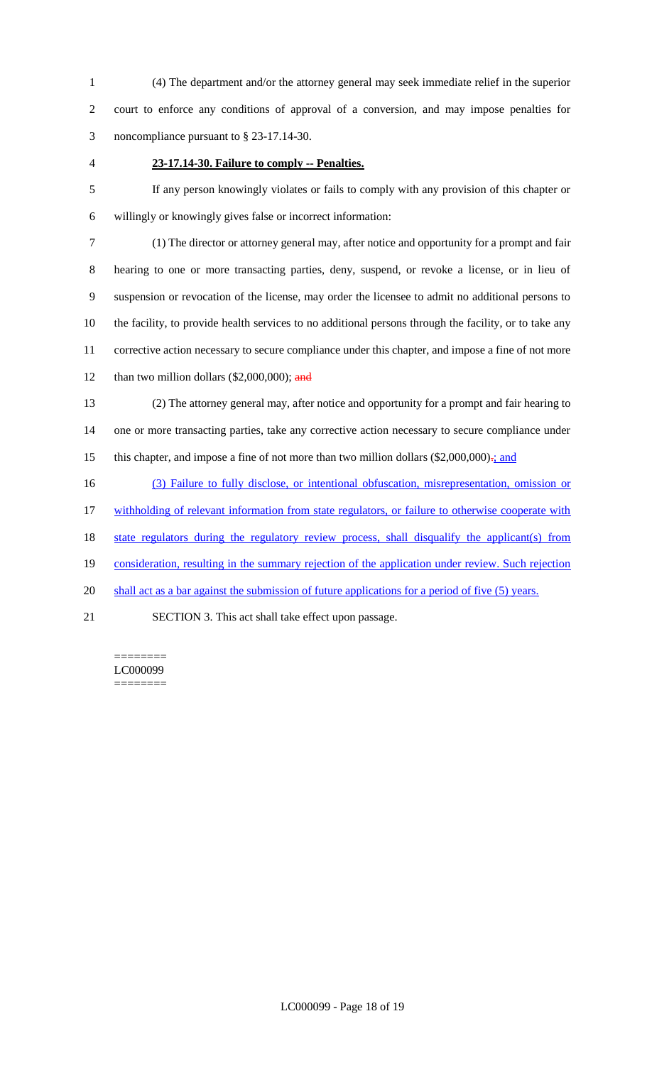(4) The department and/or the attorney general may seek immediate relief in the superior court to enforce any conditions of approval of a conversion, and may impose penalties for noncompliance pursuant to § 23-17.14-30.

#### **23-17.14-30. Failure to comply -- Penalties.**

 If any person knowingly violates or fails to comply with any provision of this chapter or willingly or knowingly gives false or incorrect information:

 (1) The director or attorney general may, after notice and opportunity for a prompt and fair hearing to one or more transacting parties, deny, suspend, or revoke a license, or in lieu of suspension or revocation of the license, may order the licensee to admit no additional persons to the facility, to provide health services to no additional persons through the facility, or to take any corrective action necessary to secure compliance under this chapter, and impose a fine of not more 12 than two million dollars  $(\$2,000,000)$ ; and

 (2) The attorney general may, after notice and opportunity for a prompt and fair hearing to one or more transacting parties, take any corrective action necessary to secure compliance under 15 this chapter, and impose a fine of not more than two million dollars  $(\$2,000,000)$ .; and

(3) Failure to fully disclose, or intentional obfuscation, misrepresentation, omission or

withholding of relevant information from state regulators, or failure to otherwise cooperate with

state regulators during the regulatory review process, shall disqualify the applicant(s) from

consideration, resulting in the summary rejection of the application under review. Such rejection

20 shall act as a bar against the submission of future applications for a period of five (5) years.

SECTION 3. This act shall take effect upon passage.

======== LC000099 ========